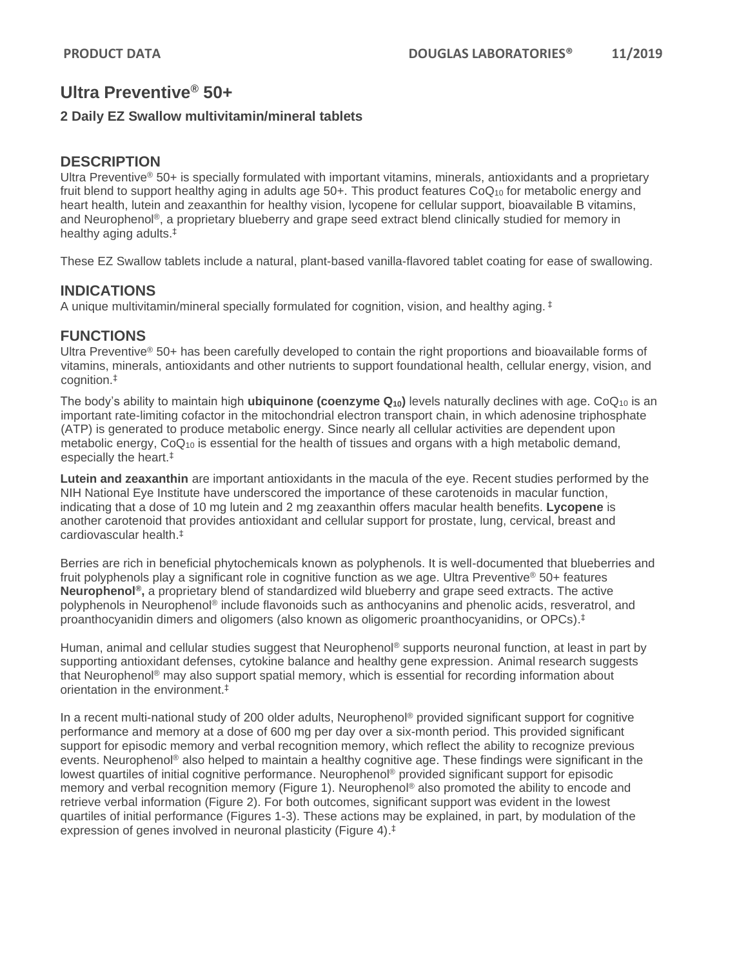#### **2 Daily EZ Swallow multivitamin/mineral tablets**

### **DESCRIPTION**

Ultra Preventive® 50+ is specially formulated with important vitamins, minerals, antioxidants and a proprietary fruit blend to support healthy aging in adults age  $50+$ . This product features  $CoQ_{10}$  for metabolic energy and heart health, lutein and zeaxanthin for healthy vision, lycopene for cellular support, bioavailable B vitamins, and Neurophenol®, a proprietary blueberry and grape seed extract blend clinically studied for memory in healthy aging adults.‡

These EZ Swallow tablets include a natural, plant-based vanilla-flavored tablet coating for ease of swallowing.

### **INDICATIONS**

A unique multivitamin/mineral specially formulated for cognition, vision, and healthy aging.  $\pm$ 

# **FUNCTIONS**

Ultra Preventive® 50+ has been carefully developed to contain the right proportions and bioavailable forms of vitamins, minerals, antioxidants and other nutrients to support foundational health, cellular energy, vision, and cognition.‡

The body's ability to maintain high **ubiquinone (coenzyme Q10)** levels naturally declines with age. CoQ<sup>10</sup> is an important rate-limiting cofactor in the mitochondrial electron transport chain, in which adenosine triphosphate (ATP) is generated to produce metabolic energy. Since nearly all cellular activities are dependent upon metabolic energy, CoQ<sub>10</sub> is essential for the health of tissues and organs with a high metabolic demand, especially the heart.‡

**Lutein and zeaxanthin** are important antioxidants in the macula of the eye. Recent studies performed by the NIH National Eye Institute have underscored the importance of these carotenoids in macular function, indicating that a dose of 10 mg lutein and 2 mg zeaxanthin offers macular health benefits. **Lycopene** is another carotenoid that provides antioxidant and cellular support for prostate, lung, cervical, breast and cardiovascular health. ‡

Berries are rich in beneficial phytochemicals known as polyphenols. It is well-documented that blueberries and fruit polyphenols play a significant role in cognitive function as we age. Ultra Preventive® 50+ features **Neurophenol®,** a proprietary blend of standardized wild blueberry and grape seed extracts. The active polyphenols in Neurophenol® include flavonoids such as anthocyanins and phenolic acids, resveratrol, and proanthocyanidin dimers and oligomers (also known as oligomeric proanthocyanidins, or OPCs). ‡

Human, animal and cellular studies suggest that Neurophenol<sup>®</sup> supports neuronal function, at least in part by supporting antioxidant defenses, cytokine balance and healthy gene expression. Animal research suggests that Neurophenol® may also support spatial memory, which is essential for recording information about orientation in the environment.‡

In a recent multi-national study of 200 older adults, Neurophenol<sup>®</sup> provided significant support for cognitive performance and memory at a dose of 600 mg per day over a six-month period. This provided significant support for episodic memory and verbal recognition memory, which reflect the ability to recognize previous events. Neurophenol® also helped to maintain a healthy cognitive age. These findings were significant in the lowest quartiles of initial cognitive performance. Neurophenol® provided significant support for episodic memory and verbal recognition memory (Figure 1). Neurophenol® also promoted the ability to encode and retrieve verbal information (Figure 2). For both outcomes, significant support was evident in the lowest quartiles of initial performance (Figures 1-3). These actions may be explained, in part, by modulation of the expression of genes involved in neuronal plasticity (Figure 4). ‡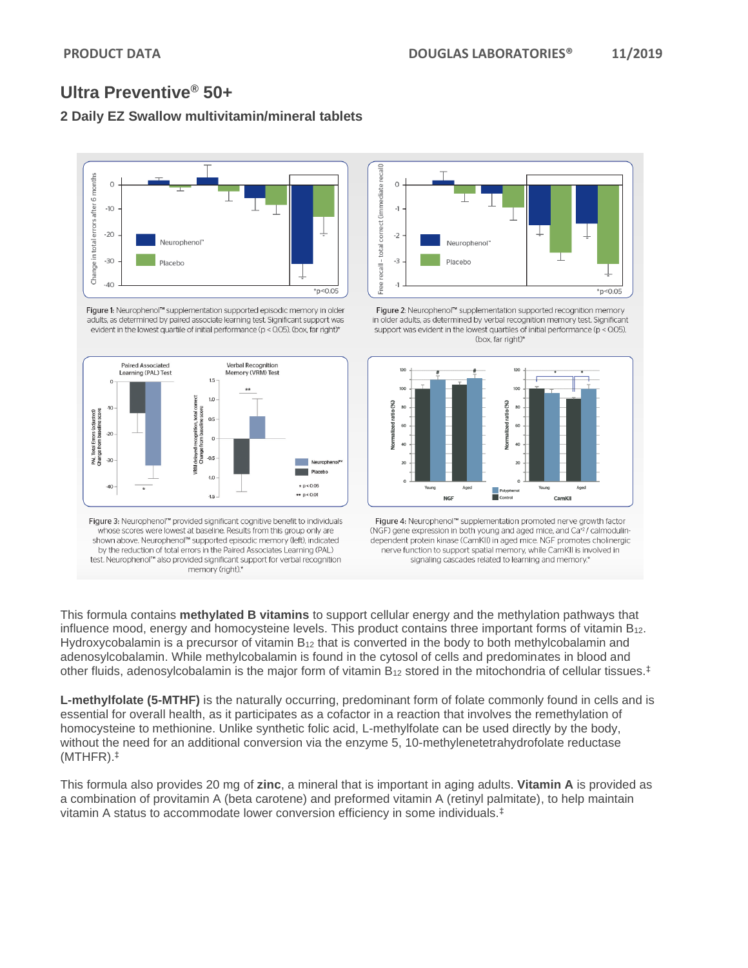# **2 Daily EZ Swallow multivitamin/mineral tablets**



Figure 1: Neurophenol™ supplementation supported episodic memory in older adults, as determined by paired associate learning test. Significant support was evident in the lowest quartile of initial performance (p < 0.05). (box, far right)\*



Figure 3: Neurophenol<sup>m</sup> provided significant cognitive benefit to individuals whose scores were lowest at baseline. Results from this group only are shown above. Neurophenol™ supported episodic memory (left), indicated by the reduction of total errors in the Paired Associates Learning (PAL) test. Neurophenol™ also provided significant support for verbal recognition memory (right).\*



Figure 2: Neurophenol™ supplementation supported recognition memory in older adults, as determined by verbal recognition memory test. Significant support was evident in the lowest quartiles of initial performance ( $p <$  0.05). (box, far right)\*



Figure 4: Neurophenol™ supplementation promoted nerve growth factor (NGF) gene expression in both young and aged mice, and Ca<sup>+2</sup>/ calmodulindependent protein kinase (CamKII) in aged mice. NGF promotes cholinergic nerve function to support spatial memory, while CamKII is involved in signaling cascades related to learning and memory.\*

This formula contains **methylated B vitamins** to support cellular energy and the methylation pathways that influence mood, energy and homocysteine levels. This product contains three important forms of vitamin B12. Hydroxycobalamin is a precursor of vitamin  $B_{12}$  that is converted in the body to both methylcobalamin and adenosylcobalamin. While methylcobalamin is found in the cytosol of cells and predominates in blood and other fluids, adenosylcobalamin is the major form of vitamin  $B_{12}$  stored in the mitochondria of cellular tissues.<sup>‡</sup>

**L-methylfolate (5-MTHF)** is the naturally occurring, predominant form of folate commonly found in cells and is essential for overall health, as it participates as a cofactor in a reaction that involves the remethylation of homocysteine to methionine. Unlike synthetic folic acid, L-methylfolate can be used directly by the body, without the need for an additional conversion via the enzyme 5, 10-methylenetetrahydrofolate reductase (MTHFR). ‡

This formula also provides 20 mg of **zinc**, a mineral that is important in aging adults. **Vitamin A** is provided as a combination of provitamin A (beta carotene) and preformed vitamin A (retinyl palmitate), to help maintain vitamin A status to accommodate lower conversion efficiency in some individuals.‡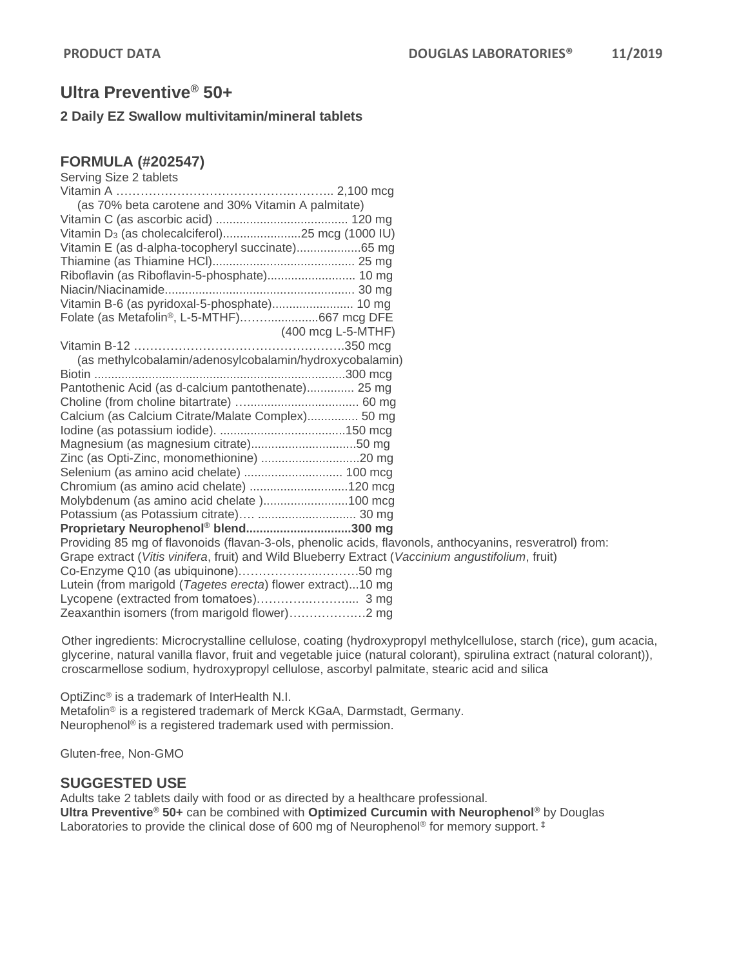#### **2 Daily EZ Swallow multivitamin/mineral tablets**

#### **FORMULA (#202547)**

| Serving Size 2 tablets                                                                                   |
|----------------------------------------------------------------------------------------------------------|
|                                                                                                          |
| (as 70% beta carotene and 30% Vitamin A palmitate)                                                       |
|                                                                                                          |
| Vitamin D <sub>3</sub> (as cholecalciferol)25 mcg (1000 IU)                                              |
| Vitamin E (as d-alpha-tocopheryl succinate)65 mg                                                         |
|                                                                                                          |
| Riboflavin (as Riboflavin-5-phosphate) 10 mg                                                             |
|                                                                                                          |
| Vitamin B-6 (as pyridoxal-5-phosphate) 10 mg                                                             |
| Folate (as Metafolin <sup>®</sup> , L-5-MTHF)667 mcg DFE                                                 |
| (400 mcg L-5-MTHF)                                                                                       |
|                                                                                                          |
| (as methylcobalamin/adenosylcobalamin/hydroxycobalamin)                                                  |
|                                                                                                          |
| Pantothenic Acid (as d-calcium pantothenate) 25 mg                                                       |
|                                                                                                          |
| Calcium (as Calcium Citrate/Malate Complex) 50 mg                                                        |
|                                                                                                          |
|                                                                                                          |
| Zinc (as Opti-Zinc, monomethionine) 20 mg                                                                |
|                                                                                                          |
| Chromium (as amino acid chelate) 120 mcg                                                                 |
| Molybdenum (as amino acid chelate )100 mcg                                                               |
| Potassium (as Potassium citrate)  30 mg                                                                  |
| Proprietary Neurophenol® blend300 mg                                                                     |
| Providing 85 mg of flavonoids (flavan-3-ols, phenolic acids, flavonols, anthocyanins, resveratrol) from: |
| Grape extract (Vitis vinifera, fruit) and Wild Blueberry Extract (Vaccinium angustifolium, fruit)        |
|                                                                                                          |
| Lutein (from marigold (Tagetes erecta) flower extract)10 mg                                              |
|                                                                                                          |
|                                                                                                          |

Other ingredients: Microcrystalline cellulose, coating (hydroxypropyl methylcellulose, starch (rice), gum acacia, glycerine, natural vanilla flavor, fruit and vegetable juice (natural colorant), spirulina extract (natural colorant)), croscarmellose sodium, hydroxypropyl cellulose, ascorbyl palmitate, stearic acid and silica

OptiZinc® is a trademark of InterHealth N.I. Metafolin® is a registered trademark of Merck KGaA, Darmstadt, Germany. Neurophenol® is a registered trademark used with permission.

Gluten-free, Non-GMO

#### **SUGGESTED USE**

Adults take 2 tablets daily with food or as directed by a healthcare professional. **Ultra Preventive® 50+** can be combined with **Optimized Curcumin with Neurophenol®** by Douglas Laboratories to provide the clinical dose of 600 mg of Neurophenol<sup>®</sup> for memory support.<sup>‡</sup>